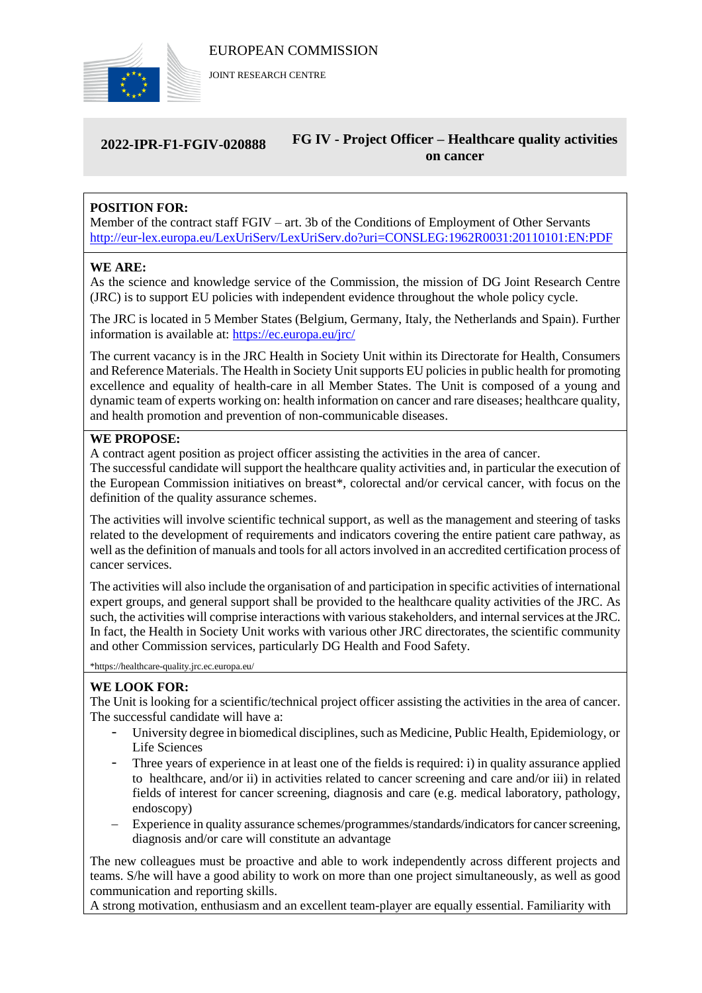

JOINT RESEARCH CENTRE

#### **2022-IPR-F1-FGIV-020888 FG IV - Project Officer – Healthcare quality activities on cancer**

# **POSITION FOR:**

Member of the contract staff FGIV – art. 3b of the Conditions of Employment of Other Servants <http://eur-lex.europa.eu/LexUriServ/LexUriServ.do?uri=CONSLEG:1962R0031:20110101:EN:PDF>

#### **WE ARE:**

As the science and knowledge service of the Commission, the mission of DG Joint Research Centre (JRC) is to support EU policies with independent evidence throughout the whole policy cycle.

The JRC is located in 5 Member States (Belgium, Germany, Italy, the Netherlands and Spain). Further information is available at: <https://ec.europa.eu/jrc/>

The current vacancy is in the JRC Health in Society Unit within its Directorate for Health, Consumers and Reference Materials. The Health in Society Unit supports EU policies in public health for promoting excellence and equality of health-care in all Member States. The Unit is composed of a young and dynamic team of experts working on: health information on cancer and rare diseases; healthcare quality, and health promotion and prevention of non-communicable diseases.

## **WE PROPOSE:**

A contract agent position as project officer assisting the activities in the area of cancer.

The successful candidate will support the healthcare quality activities and, in particular the execution of the European Commission initiatives on breast\*, colorectal and/or cervical cancer, with focus on the definition of the quality assurance schemes.

The activities will involve scientific technical support, as well as the management and steering of tasks related to the development of requirements and indicators covering the entire patient care pathway, as well as the definition of manuals and tools for all actors involved in an accredited certification process of cancer services.

The activities will also include the organisation of and participation in specific activities of international expert groups, and general support shall be provided to the healthcare quality activities of the JRC. As such, the activities will comprise interactions with various stakeholders, and internal services at the JRC. In fact, the Health in Society Unit works with various other JRC directorates, the scientific community and other Commission services, particularly DG Health and Food Safety.

\*https://healthcare-quality.jrc.ec.europa.eu/

#### **WE LOOK FOR:**

The Unit is looking for a scientific/technical project officer assisting the activities in the area of cancer. The successful candidate will have a:

- University degree in biomedical disciplines, such as Medicine, Public Health, Epidemiology, or Life Sciences
- Three years of experience in at least one of the fields is required: i) in quality assurance applied to healthcare, and/or ii) in activities related to cancer screening and care and/or iii) in related fields of interest for cancer screening, diagnosis and care (e.g. medical laboratory, pathology, endoscopy)
- Experience in quality assurance schemes/programmes/standards/indicators for cancer screening, diagnosis and/or care will constitute an advantage

The new colleagues must be proactive and able to work independently across different projects and teams. S/he will have a good ability to work on more than one project simultaneously, as well as good communication and reporting skills.

A strong motivation, enthusiasm and an excellent team-player are equally essential. Familiarity with